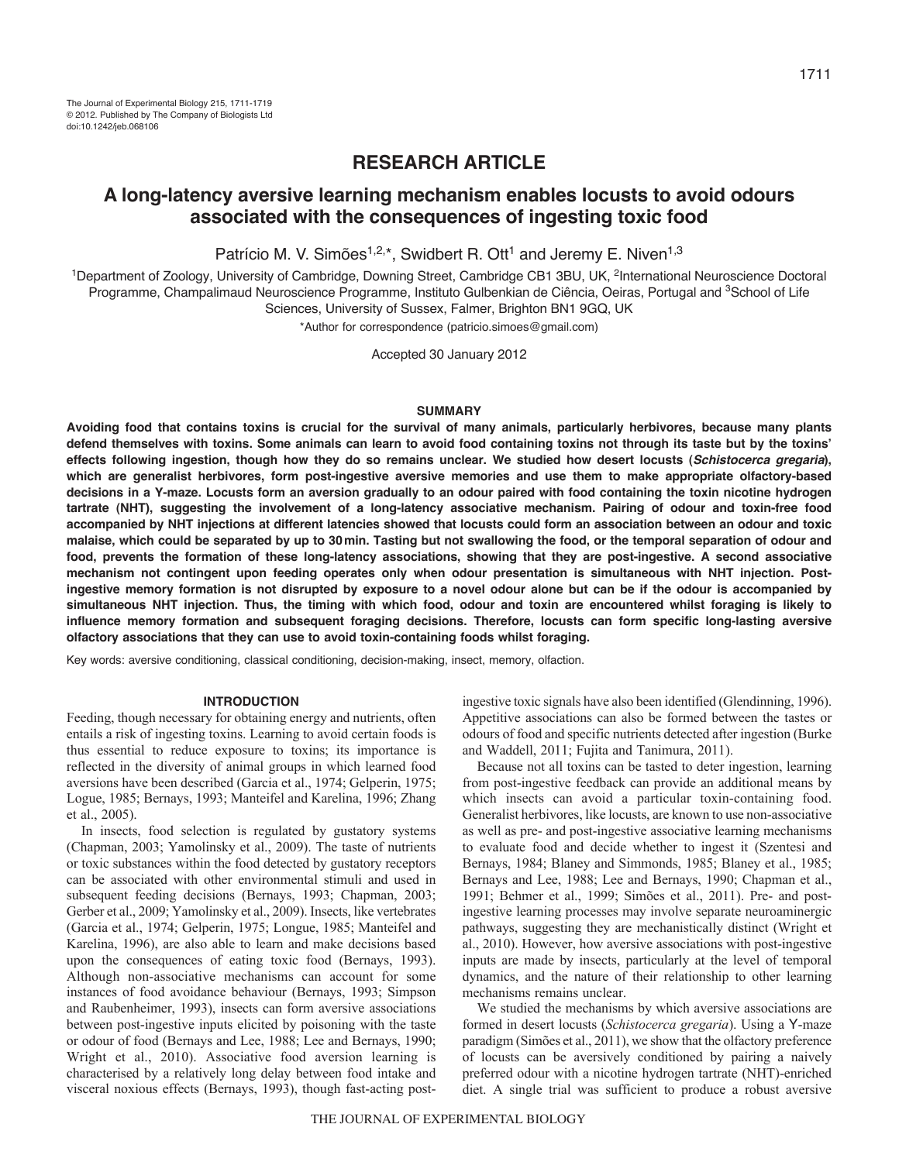# **RESEARCH ARTICLE**

# **A long-latency aversive learning mechanism enables locusts to avoid odours associated with the consequences of ingesting toxic food**

Patrício M. V. Simões<sup>1,2,\*</sup>, Swidbert R. Ott<sup>1</sup> and Jeremy E. Niven<sup>1,3</sup>

<sup>1</sup>Department of Zoology, University of Cambridge, Downing Street, Cambridge CB1 3BU, UK, <sup>2</sup>International Neuroscience Doctoral Programme, Champalimaud Neuroscience Programme, Instituto Gulbenkian de Ciência, Oeiras, Portugal and <sup>3</sup>School of Life Sciences, University of Sussex, Falmer, Brighton BN1 9GQ, UK

\*Author for correspondence (patricio.simoes@gmail.com)

Accepted 30 January 2012

#### **SUMMARY**

**Avoiding food that contains toxins is crucial for the survival of many animals, particularly herbivores, because many plants defend themselves with toxins. Some animals can learn to avoid food containing toxins not through its taste but by the toxins' effects following ingestion, though how they do so remains unclear. We studied how desert locusts (***Schistocerca gregaria***), which are generalist herbivores, form post-ingestive aversive memories and use them to make appropriate olfactory-based decisions in a Y-maze. Locusts form an aversion gradually to an odour paired with food containing the toxin nicotine hydrogen tartrate (NHT), suggesting the involvement of a long-latency associative mechanism. Pairing of odour and toxin-free food accompanied by NHT injections at different latencies showed that locusts could form an association between an odour and toxic malaise, which could be separated by up to 30min. Tasting but not swallowing the food, or the temporal separation of odour and food, prevents the formation of these long-latency associations, showing that they are post-ingestive. A second associative mechanism not contingent upon feeding operates only when odour presentation is simultaneous with NHT injection. Postingestive memory formation is not disrupted by exposure to a novel odour alone but can be if the odour is accompanied by simultaneous NHT injection. Thus, the timing with which food, odour and toxin are encountered whilst foraging is likely to influence memory formation and subsequent foraging decisions. Therefore, locusts can form specific long-lasting aversive olfactory associations that they can use to avoid toxin-containing foods whilst foraging.**

Key words: aversive conditioning, classical conditioning, decision-making, insect, memory, olfaction.

## **INTRODUCTION**

Feeding, though necessary for obtaining energy and nutrients, often entails a risk of ingesting toxins. Learning to avoid certain foods is thus essential to reduce exposure to toxins; its importance is reflected in the diversity of animal groups in which learned food aversions have been described (Garcia et al., 1974; Gelperin, 1975; Logue, 1985; Bernays, 1993; Manteifel and Karelina, 1996; Zhang et al., 2005).

In insects, food selection is regulated by gustatory systems (Chapman, 2003; Yamolinsky et al., 2009). The taste of nutrients or toxic substances within the food detected by gustatory receptors can be associated with other environmental stimuli and used in subsequent feeding decisions (Bernays, 1993; Chapman, 2003; Gerber et al., 2009; Yamolinsky et al., 2009). Insects, like vertebrates (Garcia et al., 1974; Gelperin, 1975; Longue, 1985; Manteifel and Karelina, 1996), are also able to learn and make decisions based upon the consequences of eating toxic food (Bernays, 1993). Although non-associative mechanisms can account for some instances of food avoidance behaviour (Bernays, 1993; Simpson and Raubenheimer, 1993), insects can form aversive associations between post-ingestive inputs elicited by poisoning with the taste or odour of food (Bernays and Lee, 1988; Lee and Bernays, 1990; Wright et al., 2010). Associative food aversion learning is characterised by a relatively long delay between food intake and visceral noxious effects (Bernays, 1993), though fast-acting postingestive toxic signals have also been identified (Glendinning, 1996). Appetitive associations can also be formed between the tastes or odours of food and specific nutrients detected after ingestion (Burke and Waddell, 2011; Fujita and Tanimura, 2011).

Because not all toxins can be tasted to deter ingestion, learning from post-ingestive feedback can provide an additional means by which insects can avoid a particular toxin-containing food. Generalist herbivores, like locusts, are known to use non-associative as well as pre- and post-ingestive associative learning mechanisms to evaluate food and decide whether to ingest it (Szentesi and Bernays, 1984; Blaney and Simmonds, 1985; Blaney et al., 1985; Bernays and Lee, 1988; Lee and Bernays, 1990; Chapman et al., 1991; Behmer et al., 1999; Simões et al., 2011). Pre- and postingestive learning processes may involve separate neuroaminergic pathways, suggesting they are mechanistically distinct (Wright et al., 2010). However, how aversive associations with post-ingestive inputs are made by insects, particularly at the level of temporal dynamics, and the nature of their relationship to other learning mechanisms remains unclear.

We studied the mechanisms by which aversive associations are formed in desert locusts (*Schistocerca gregaria*). Using a Y-maze paradigm (Simões et al., 2011), we show that the olfactory preference of locusts can be aversively conditioned by pairing a naively preferred odour with a nicotine hydrogen tartrate (NHT)-enriched diet. A single trial was sufficient to produce a robust aversive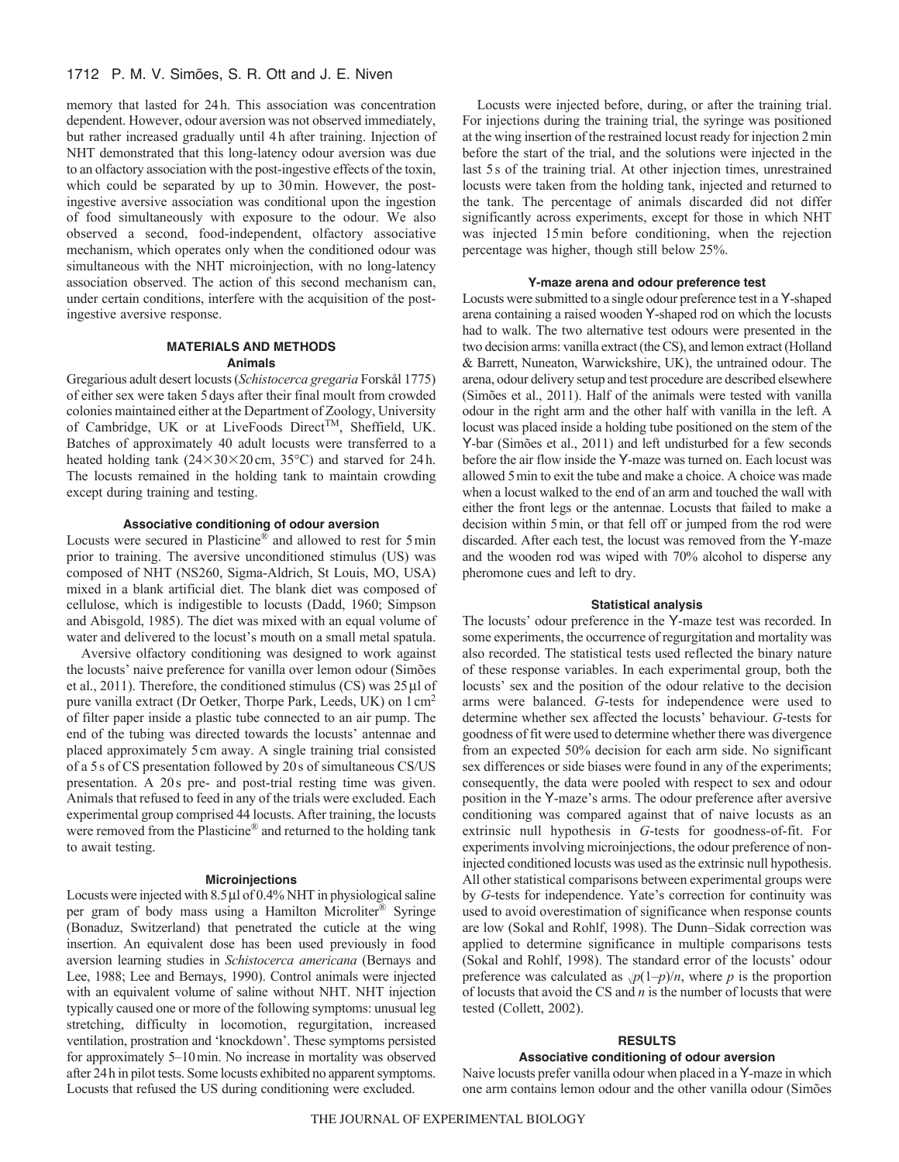memory that lasted for 24h. This association was concentration dependent. However, odour aversion was not observed immediately, but rather increased gradually until 4h after training. Injection of NHT demonstrated that this long-latency odour aversion was due to an olfactory association with the post-ingestive effects of the toxin, which could be separated by up to 30min. However, the postingestive aversive association was conditional upon the ingestion of food simultaneously with exposure to the odour. We also observed a second, food-independent, olfactory associative mechanism, which operates only when the conditioned odour was simultaneous with the NHT microinjection, with no long-latency association observed. The action of this second mechanism can, under certain conditions, interfere with the acquisition of the postingestive aversive response.

# **MATERIALS AND METHODS Animals**

Gregarious adult desert locusts (*Schistocerca gregaria* Forskål 1775) of either sex were taken 5days after their final moult from crowded colonies maintained either at the Department of Zoology, University of Cambridge, UK or at LiveFoods DirectTM, Sheffield, UK. Batches of approximately 40 adult locusts were transferred to a heated holding tank  $(24\times30\times20 \text{ cm}, 35^{\circ}\text{C})$  and starved for 24h. The locusts remained in the holding tank to maintain crowding except during training and testing.

## **Associative conditioning of odour aversion**

Locusts were secured in Plasticine® and allowed to rest for 5 min prior to training. The aversive unconditioned stimulus (US) was composed of NHT (NS260, Sigma-Aldrich, St Louis, MO, USA) mixed in a blank artificial diet. The blank diet was composed of cellulose, which is indigestible to locusts (Dadd, 1960; Simpson and Abisgold, 1985). The diet was mixed with an equal volume of water and delivered to the locust's mouth on a small metal spatula.

Aversive olfactory conditioning was designed to work against the locusts' naive preference for vanilla over lemon odour (Simões et al., 2011). Therefore, the conditioned stimulus (CS) was  $25 \mu$ l of pure vanilla extract (Dr Oetker, Thorpe Park, Leeds, UK) on 1 cm<sup>2</sup> of filter paper inside a plastic tube connected to an air pump. The end of the tubing was directed towards the locusts' antennae and placed approximately 5cm away. A single training trial consisted of a 5s of CS presentation followed by 20s of simultaneous CS/US presentation. A 20s pre- and post-trial resting time was given. Animals that refused to feed in any of the trials were excluded. Each experimental group comprised 44 locusts. After training, the locusts were removed from the Plasticine® and returned to the holding tank to await testing.

#### **Microinjections**

Locusts were injected with  $8.5 \mu$ l of 0.4% NHT in physiological saline per gram of body mass using a Hamilton Microliter® Syringe (Bonaduz, Switzerland) that penetrated the cuticle at the wing insertion. An equivalent dose has been used previously in food aversion learning studies in *Schistocerca americana* (Bernays and Lee, 1988; Lee and Bernays, 1990). Control animals were injected with an equivalent volume of saline without NHT. NHT injection typically caused one or more of the following symptoms: unusual leg stretching, difficulty in locomotion, regurgitation, increased ventilation, prostration and 'knockdown'. These symptoms persisted for approximately 5–10min. No increase in mortality was observed after 24h in pilot tests. Some locusts exhibited no apparent symptoms. Locusts that refused the US during conditioning were excluded.

Locusts were injected before, during, or after the training trial. For injections during the training trial, the syringe was positioned at the wing insertion of the restrained locust ready for injection 2min before the start of the trial, and the solutions were injected in the last 5s of the training trial. At other injection times, unrestrained locusts were taken from the holding tank, injected and returned to the tank. The percentage of animals discarded did not differ significantly across experiments, except for those in which NHT was injected 15min before conditioning, when the rejection percentage was higher, though still below 25%.

#### **Y-maze arena and odour preference test**

Locusts were submitted to a single odour preference test in a Y-shaped arena containing a raised wooden Y-shaped rod on which the locusts had to walk. The two alternative test odours were presented in the two decision arms: vanilla extract (the CS), and lemon extract (Holland & Barrett, Nuneaton, Warwickshire, UK), the untrained odour. The arena, odour delivery setup and test procedure are described elsewhere (Simões et al., 2011). Half of the animals were tested with vanilla odour in the right arm and the other half with vanilla in the left. A locust was placed inside a holding tube positioned on the stem of the Y-bar (Simões et al., 2011) and left undisturbed for a few seconds before the air flow inside the Y-maze was turned on. Each locust was allowed 5min to exit the tube and make a choice. A choice was made when a locust walked to the end of an arm and touched the wall with either the front legs or the antennae. Locusts that failed to make a decision within 5min, or that fell off or jumped from the rod were discarded. After each test, the locust was removed from the Y-maze and the wooden rod was wiped with 70% alcohol to disperse any pheromone cues and left to dry.

#### **Statistical analysis**

The locusts' odour preference in the Y-maze test was recorded. In some experiments, the occurrence of regurgitation and mortality was also recorded. The statistical tests used reflected the binary nature of these response variables. In each experimental group, both the locusts' sex and the position of the odour relative to the decision arms were balanced. *G*-tests for independence were used to determine whether sex affected the locusts' behaviour. *G*-tests for goodness of fit were used to determine whether there was divergence from an expected 50% decision for each arm side. No significant sex differences or side biases were found in any of the experiments; consequently, the data were pooled with respect to sex and odour position in the Y-maze's arms. The odour preference after aversive conditioning was compared against that of naive locusts as an extrinsic null hypothesis in *G*-tests for goodness-of-fit. For experiments involving microinjections, the odour preference of noninjected conditioned locusts was used as the extrinsic null hypothesis. All other statistical comparisons between experimental groups were by *G*-tests for independence. Yate's correction for continuity was used to avoid overestimation of significance when response counts are low (Sokal and Rohlf, 1998). The Dunn–Sidak correction was applied to determine significance in multiple comparisons tests (Sokal and Rohlf, 1998). The standard error of the locusts' odour preference was calculated as  $\sqrt{p(1-p)/n}$ , where *p* is the proportion of locusts that avoid the CS and *n* is the number of locusts that were tested (Collett, 2002).

#### **RESULTS**

#### **Associative conditioning of odour aversion**

Naive locusts prefer vanilla odour when placed in a Y-maze in which one arm contains lemon odour and the other vanilla odour (Simões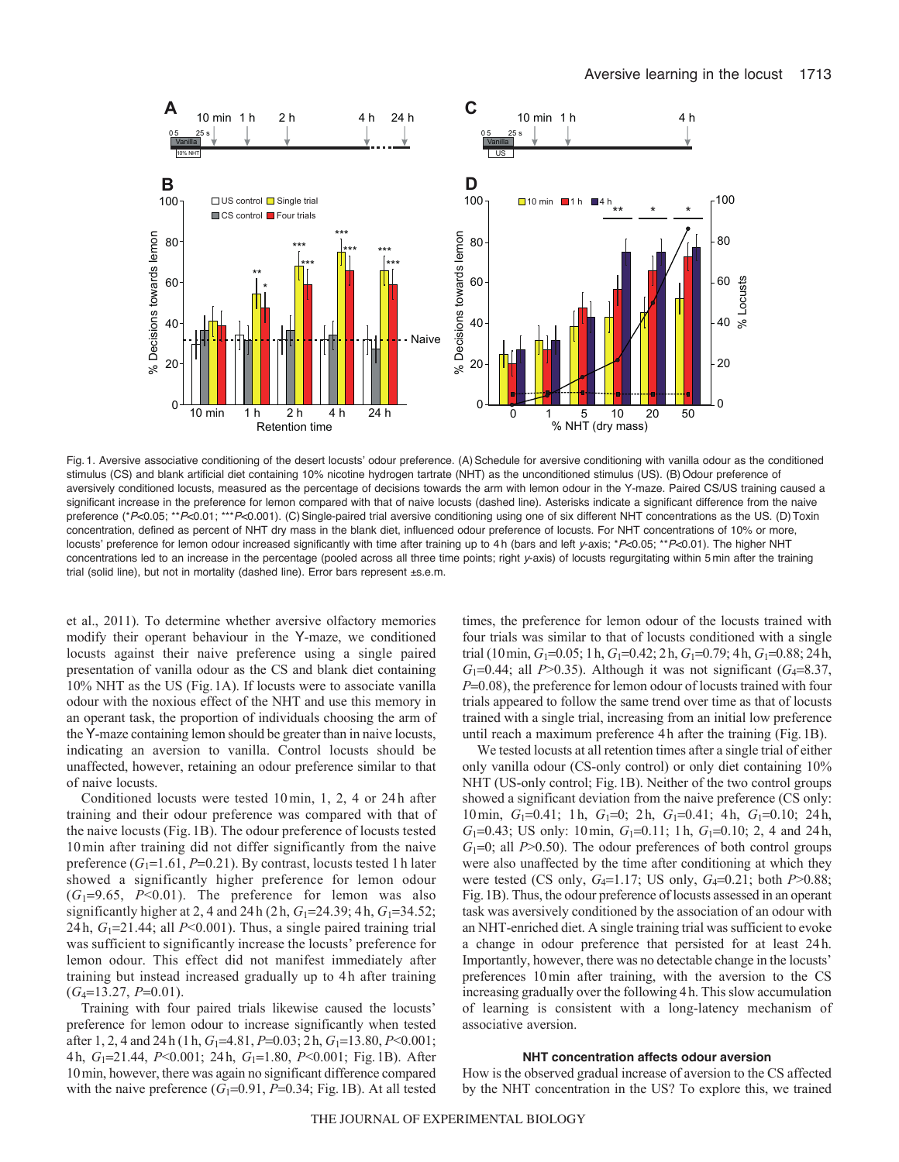

Fig. 1. Aversive associative conditioning of the desert locusts' odour preference. (A)Schedule for aversive conditioning with vanilla odour as the conditioned stimulus (CS) and blank artificial diet containing 10% nicotine hydrogen tartrate (NHT) as the unconditioned stimulus (US). (B) Odour preference of aversively conditioned locusts, measured as the percentage of decisions towards the arm with lemon odour in the Y-maze. Paired CS/US training caused a significant increase in the preference for lemon compared with that of naive locusts (dashed line). Asterisks indicate a significant difference from the naive preference (\**P<*0.05; \*\**P<*0.01; \*\*\**P<*0.001). (C) Single-paired trial aversive conditioning using one of six different NHT concentrations as the US. (D) Toxin concentration, defined as percent of NHT dry mass in the blank diet, influenced odour preference of locusts. For NHT concentrations of 10% or more, locusts' preference for lemon odour increased significantly with time after training up to 4 h (bars and left *y*-axis; \**P*<0.05; \*\**P*<0.01). The higher NHT concentrations led to an increase in the percentage (pooled across all three time points; right *y*-axis) of locusts regurgitating within 5 min after the training trial (solid line), but not in mortality (dashed line). Error bars represent ±s.e.m.

et al., 2011). To determine whether aversive olfactory memories modify their operant behaviour in the Y-maze, we conditioned locusts against their naive preference using a single paired presentation of vanilla odour as the CS and blank diet containing 10% NHT as the US (Fig.1A). If locusts were to associate vanilla odour with the noxious effect of the NHT and use this memory in an operant task, the proportion of individuals choosing the arm of the Y-maze containing lemon should be greater than in naive locusts, indicating an aversion to vanilla. Control locusts should be unaffected, however, retaining an odour preference similar to that of naive locusts.

Conditioned locusts were tested 10min, 1, 2, 4 or 24h after training and their odour preference was compared with that of the naive locusts (Fig. 1B). The odour preference of locusts tested 10min after training did not differ significantly from the naive preference  $(G_1=1.61, P=0.21)$ . By contrast, locusts tested 1 h later showed a significantly higher preference for lemon odour  $(G_1=9.65, P<0.01)$ . The preference for lemon was also significantly higher at 2, 4 and 24 h (2 h,  $G_1 = 24.39$ ; 4 h,  $G_1 = 34.52$ ; 24 h,  $G_1 = 21.44$ ; all  $P < 0.001$ ). Thus, a single paired training trial was sufficient to significantly increase the locusts' preference for lemon odour. This effect did not manifest immediately after training but instead increased gradually up to 4h after training  $(G_4=13.27, P=0.01).$ 

Training with four paired trials likewise caused the locusts' preference for lemon odour to increase significantly when tested after 1, 2, 4 and 24 h (1 h,  $G_1$ =4.81, *P*=0.03; 2 h,  $G_1$ =13.80, *P*<0.001; 4h, *G*<sub>1</sub>=21.44, *P*<0.001; 24h, *G*<sub>1</sub>=1.80, *P*<0.001; Fig. 1B). After 10min, however, there was again no significant difference compared with the naive preference  $(G_1=0.91, P=0.34; Fig.1B)$ . At all tested times, the preference for lemon odour of the locusts trained with four trials was similar to that of locusts conditioned with a single trial (10min,  $G_1$ =0.05; 1h,  $G_1$ =0.42; 2h,  $G_1$ =0.79; 4h,  $G_1$ =0.88; 24h,  $G_1 = 0.44$ ; all *P*>0.35). Although it was not significant ( $G_4 = 8.37$ , *P*=0.08), the preference for lemon odour of locusts trained with four trials appeared to follow the same trend over time as that of locusts trained with a single trial, increasing from an initial low preference until reach a maximum preference 4h after the training (Fig.1B).

We tested locusts at all retention times after a single trial of either only vanilla odour (CS-only control) or only diet containing 10% NHT (US-only control; Fig.1B). Neither of the two control groups showed a significant deviation from the naive preference (CS only: 10min, *G*<sub>1</sub>=0.41; 1h, *G*<sub>1</sub>=0; 2h, *G*<sub>1</sub>=0.41; 4h, *G*<sub>1</sub>=0.10; 24h,  $G_1=0.43$ ; US only: 10 min,  $G_1=0.11$ ; 1h,  $G_1=0.10$ ; 2, 4 and 24h,  $G_1=0$ ; all  $P>0.50$ ). The odour preferences of both control groups were also unaffected by the time after conditioning at which they were tested (CS only,  $G_4=1.17$ ; US only,  $G_4=0.21$ ; both  $P>0.88$ ; Fig.1B). Thus, the odour preference of locusts assessed in an operant task was aversively conditioned by the association of an odour with an NHT-enriched diet. A single training trial was sufficient to evoke a change in odour preference that persisted for at least 24h. Importantly, however, there was no detectable change in the locusts' preferences 10min after training, with the aversion to the CS increasing gradually over the following 4h. This slow accumulation of learning is consistent with a long-latency mechanism of associative aversion.

#### **NHT concentration affects odour aversion**

How is the observed gradual increase of aversion to the CS affected by the NHT concentration in the US? To explore this, we trained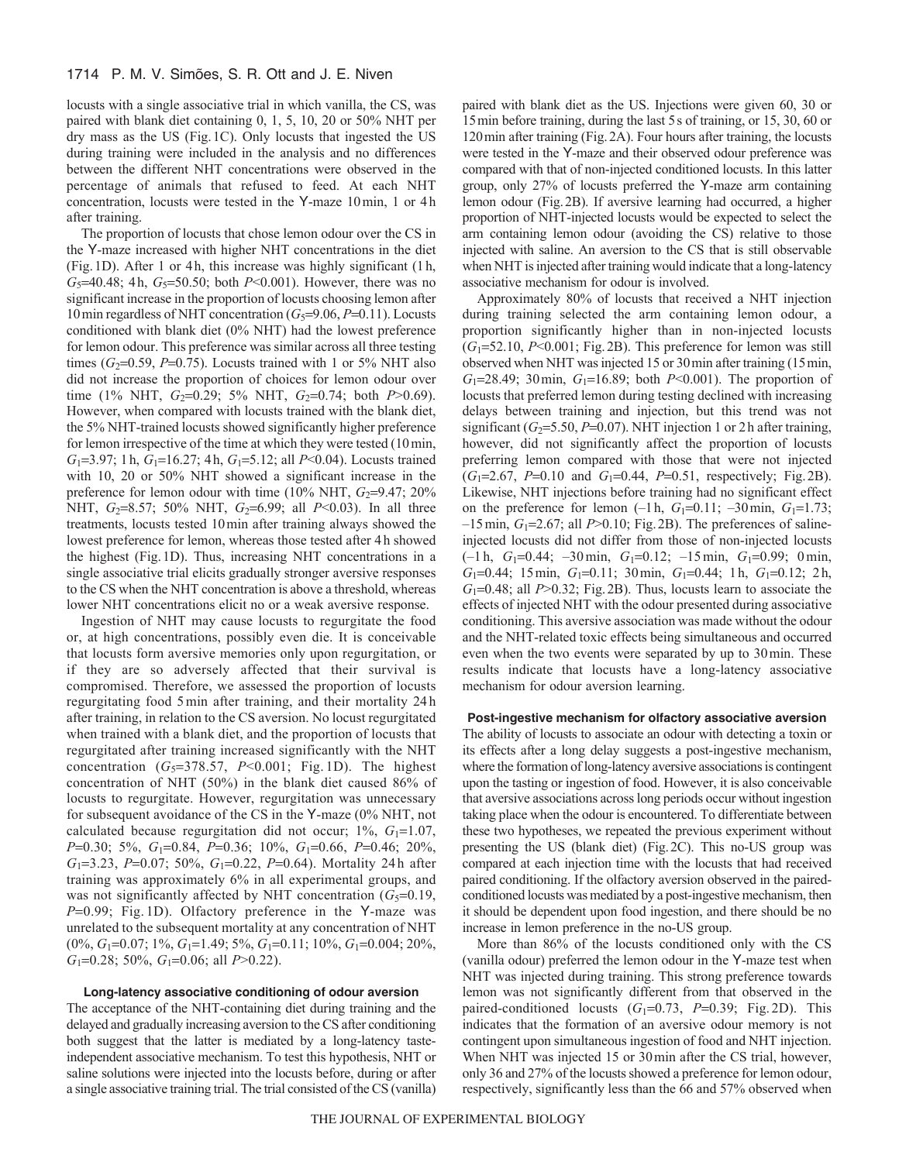locusts with a single associative trial in which vanilla, the CS, was paired with blank diet containing 0, 1, 5, 10, 20 or 50% NHT per dry mass as the US (Fig.1C). Only locusts that ingested the US during training were included in the analysis and no differences between the different NHT concentrations were observed in the percentage of animals that refused to feed. At each NHT concentration, locusts were tested in the Y-maze 10min, 1 or 4h after training.

The proportion of locusts that chose lemon odour over the CS in the Y-maze increased with higher NHT concentrations in the diet (Fig.1D). After 1 or 4h, this increase was highly significant (1h,  $G_5$ =40.48; 4h,  $G_5$ =50.50; both *P*<0.001). However, there was no significant increase in the proportion of locusts choosing lemon after 10 min regardless of NHT concentration  $(G<sub>5</sub>=9.06, P=0.11)$ . Locusts conditioned with blank diet (0% NHT) had the lowest preference for lemon odour. This preference was similar across all three testing times ( $G_2$ =0.59, *P*=0.75). Locusts trained with 1 or 5% NHT also did not increase the proportion of choices for lemon odour over time (1% NHT,  $G_2=0.29$ ; 5% NHT,  $G_2=0.74$ ; both  $P>0.69$ ). However, when compared with locusts trained with the blank diet, the 5% NHT-trained locusts showed significantly higher preference for lemon irrespective of the time at which they were tested (10min, *G*<sub>1</sub>=3.97; 1h, *G*<sub>1</sub>=16.27; 4h, *G*<sub>1</sub>=5.12; all *P*<0.04). Locusts trained with 10, 20 or 50% NHT showed a significant increase in the preference for lemon odour with time  $(10\% \text{ NHT}, G_2=9.47; 20\%$ NHT, *G*<sub>2</sub>=8.57; 50% NHT, *G*<sub>2</sub>=6.99; all *P*<0.03). In all three treatments, locusts tested 10min after training always showed the lowest preference for lemon, whereas those tested after 4h showed the highest (Fig.1D). Thus, increasing NHT concentrations in a single associative trial elicits gradually stronger aversive responses to the CS when the NHT concentration is above a threshold, whereas lower NHT concentrations elicit no or a weak aversive response.

Ingestion of NHT may cause locusts to regurgitate the food or, at high concentrations, possibly even die. It is conceivable that locusts form aversive memories only upon regurgitation, or if they are so adversely affected that their survival is compromised. Therefore, we assessed the proportion of locusts regurgitating food 5min after training, and their mortality 24 h after training, in relation to the CS aversion. No locust regurgitated when trained with a blank diet, and the proportion of locusts that regurgitated after training increased significantly with the NHT concentration  $(G<sub>5</sub>=378.57, P<0.001$ ; Fig. 1D). The highest concentration of NHT (50%) in the blank diet caused 86% of locusts to regurgitate. However, regurgitation was unnecessary for subsequent avoidance of the CS in the Y-maze (0% NHT, not calculated because regurgitation did not occur;  $1\%$ ,  $G_1=1.07$ , *P*=0.30; 5%, *G*<sub>1</sub>=0.84, *P*=0.36; 10%, *G*<sub>1</sub>=0.66, *P*=0.46; 20%, *G*<sub>1</sub>=3.23, *P*=0.07; 50%, *G*<sub>1</sub>=0.22, *P*=0.64). Mortality 24h after training was approximately 6% in all experimental groups, and was not significantly affected by NHT concentration  $(G<sub>5</sub>=0.19)$ , *P*=0.99; Fig. 1D). Olfactory preference in the Y-maze was unrelated to the subsequent mortality at any concentration of NHT  $(0\%, G_1=0.07; 1\%, G_1=1.49; 5\%, G_1=0.11; 10\%, G_1=0.004; 20\%,$ *G*<sub>1</sub>=0.28; 50%, *G*<sub>1</sub>=0.06; all *P*>0.22).

## **Long-latency associative conditioning of odour aversion**

The acceptance of the NHT-containing diet during training and the delayed and gradually increasing aversion to the CS after conditioning both suggest that the latter is mediated by a long-latency tasteindependent associative mechanism. To test this hypothesis, NHT or saline solutions were injected into the locusts before, during or after a single associative training trial. The trial consisted of the CS (vanilla) paired with blank diet as the US. Injections were given 60, 30 or 15min before training, during the last 5s of training, or 15, 30, 60 or 120min after training (Fig.2A). Four hours after training, the locusts were tested in the Y-maze and their observed odour preference was compared with that of non-injected conditioned locusts. In this latter group, only 27% of locusts preferred the Y-maze arm containing lemon odour (Fig.2B). If aversive learning had occurred, a higher proportion of NHT-injected locusts would be expected to select the arm containing lemon odour (avoiding the CS) relative to those injected with saline. An aversion to the CS that is still observable when NHT is injected after training would indicate that a long-latency associative mechanism for odour is involved.

Approximately 80% of locusts that received a NHT injection during training selected the arm containing lemon odour, a proportion significantly higher than in non-injected locusts  $(G_1=52.10, P<0.001; Fig. 2B)$ . This preference for lemon was still observed when NHT was injected 15 or 30min after training (15min, *G*<sub>1</sub>=28.49; 30 min, *G*<sub>1</sub>=16.89; both *P*<0.001). The proportion of locusts that preferred lemon during testing declined with increasing delays between training and injection, but this trend was not significant  $(G_2=5.50, P=0.07)$ . NHT injection 1 or 2 h after training, however, did not significantly affect the proportion of locusts preferring lemon compared with those that were not injected  $(G_1=2.67, P=0.10 \text{ and } G_1=0.44, P=0.51, respectively; Fig. 2B).$ Likewise, NHT injections before training had no significant effect on the preference for lemon  $(-1h, G_1=0.11; -30\,\text{min}, G_1=1.73;$  $-15$  min,  $G_1 = 2.67$ ; all  $P > 0.10$ ; Fig. 2B). The preferences of salineinjected locusts did not differ from those of non-injected locusts  $(-1 h, G_1=0.44; -30 min, G_1=0.12; -15 min, G_1=0.99; 0 min,$  $G_1=0.44$ ; 15 min,  $G_1=0.11$ ; 30 min,  $G_1=0.44$ ; 1h,  $G_1=0.12$ ; 2h,  $G_1=0.48$ ; all  $P>0.32$ ; Fig. 2B). Thus, locusts learn to associate the effects of injected NHT with the odour presented during associative conditioning. This aversive association was made without the odour and the NHT-related toxic effects being simultaneous and occurred even when the two events were separated by up to 30min. These results indicate that locusts have a long-latency associative mechanism for odour aversion learning.

#### **Post-ingestive mechanism for olfactory associative aversion**

The ability of locusts to associate an odour with detecting a toxin or its effects after a long delay suggests a post-ingestive mechanism, where the formation of long-latency aversive associations is contingent upon the tasting or ingestion of food. However, it is also conceivable that aversive associations across long periods occur without ingestion taking place when the odour is encountered. To differentiate between these two hypotheses, we repeated the previous experiment without presenting the US (blank diet) (Fig.2C). This no-US group was compared at each injection time with the locusts that had received paired conditioning. If the olfactory aversion observed in the pairedconditioned locusts was mediated by a post-ingestive mechanism, then it should be dependent upon food ingestion, and there should be no increase in lemon preference in the no-US group.

More than 86% of the locusts conditioned only with the CS (vanilla odour) preferred the lemon odour in the Y-maze test when NHT was injected during training. This strong preference towards lemon was not significantly different from that observed in the paired-conditioned locusts  $(G_1=0.73, P=0.39; Fig. 2D)$ . This indicates that the formation of an aversive odour memory is not contingent upon simultaneous ingestion of food and NHT injection. When NHT was injected 15 or 30min after the CS trial, however, only 36 and 27% of the locusts showed a preference for lemon odour, respectively, significantly less than the 66 and 57% observed when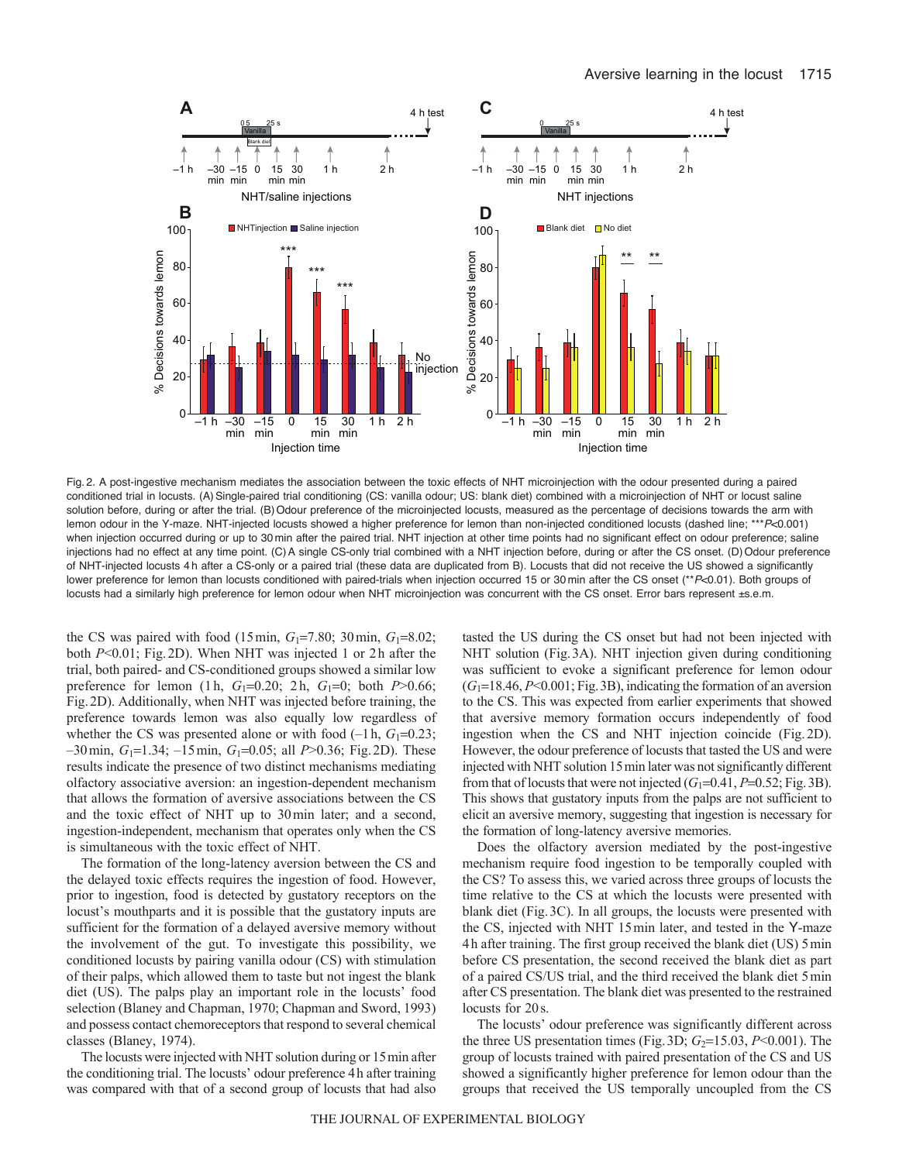

Fig. 2. A post-ingestive mechanism mediates the association between the toxic effects of NHT microinjection with the odour presented during a paired conditioned trial in locusts. (A)Single-paired trial conditioning (CS: vanilla odour; US: blank diet) combined with a microinjection of NHT or locust saline solution before, during or after the trial. (B) Odour preference of the microinjected locusts, measured as the percentage of decisions towards the arm with lemon odour in the Y-maze. NHT-injected locusts showed a higher preference for lemon than non-injected conditioned locusts (dashed line; \*\*\**P*<0.001) when injection occurred during or up to 30 min after the paired trial. NHT injection at other time points had no significant effect on odour preference; saline injections had no effect at any time point. (C)A single CS-only trial combined with a NHT injection before, during or after the CS onset. (D) Odour preference of NHT-injected locusts 4 h after a CS-only or a paired trial (these data are duplicated from B). Locusts that did not receive the US showed a significantly lower preference for lemon than locusts conditioned with paired-trials when injection occurred 15 or 30 min after the CS onset (\*\**P*<0.01). Both groups of locusts had a similarly high preference for lemon odour when NHT microinjection was concurrent with the CS onset. Error bars represent ±s.e.m.

the CS was paired with food  $(15 \text{min}, G_1 = 7.80; 30 \text{min}, G_1 = 8.02;$ both *P*<0.01; Fig.2D). When NHT was injected 1 or 2h after the trial, both paired- and CS-conditioned groups showed a similar low preference for lemon (1h,  $G_1=0.20$ ; 2h,  $G_1=0$ ; both  $P>0.66$ ; Fig.2D). Additionally, when NHT was injected before training, the preference towards lemon was also equally low regardless of whether the CS was presented alone or with food  $(-1)$ h,  $G_1=0.23$ ;  $-30$ min,  $G_1 = 1.34$ ;  $-15$ min,  $G_1 = 0.05$ ; all  $P > 0.36$ ; Fig. 2D). These results indicate the presence of two distinct mechanisms mediating olfactory associative aversion: an ingestion-dependent mechanism that allows the formation of aversive associations between the CS and the toxic effect of NHT up to 30min later; and a second, ingestion-independent, mechanism that operates only when the CS is simultaneous with the toxic effect of NHT.

The formation of the long-latency aversion between the CS and the delayed toxic effects requires the ingestion of food. However, prior to ingestion, food is detected by gustatory receptors on the locust's mouthparts and it is possible that the gustatory inputs are sufficient for the formation of a delayed aversive memory without the involvement of the gut. To investigate this possibility, we conditioned locusts by pairing vanilla odour (CS) with stimulation of their palps, which allowed them to taste but not ingest the blank diet (US). The palps play an important role in the locusts' food selection (Blaney and Chapman, 1970; Chapman and Sword, 1993) and possess contact chemoreceptors that respond to several chemical classes (Blaney, 1974).

The locusts were injected with NHT solution during or 15min after the conditioning trial. The locusts' odour preference 4h after training was compared with that of a second group of locusts that had also tasted the US during the CS onset but had not been injected with NHT solution (Fig.3A). NHT injection given during conditioning was sufficient to evoke a significant preference for lemon odour  $(G_1=18.46, P<0.001; Fig. 3B)$ , indicating the formation of an aversion to the CS. This was expected from earlier experiments that showed that aversive memory formation occurs independently of food ingestion when the CS and NHT injection coincide (Fig.2D). However, the odour preference of locusts that tasted the US and were injected with NHT solution 15min later was not significantly different from that of locusts that were not injected  $(G_1=0.41, P=0.52; Fig.3B)$ . This shows that gustatory inputs from the palps are not sufficient to elicit an aversive memory, suggesting that ingestion is necessary for the formation of long-latency aversive memories.

Does the olfactory aversion mediated by the post-ingestive mechanism require food ingestion to be temporally coupled with the CS? To assess this, we varied across three groups of locusts the time relative to the CS at which the locusts were presented with blank diet (Fig.3C). In all groups, the locusts were presented with the CS, injected with NHT 15min later, and tested in the Y-maze 4h after training. The first group received the blank diet (US) 5min before CS presentation, the second received the blank diet as part of a paired CS/US trial, and the third received the blank diet 5min after CS presentation. The blank diet was presented to the restrained locusts for 20s.

The locusts' odour preference was significantly different across the three US presentation times (Fig. 3D;  $G_2=15.03$ ,  $P<0.001$ ). The group of locusts trained with paired presentation of the CS and US showed a significantly higher preference for lemon odour than the groups that received the US temporally uncoupled from the CS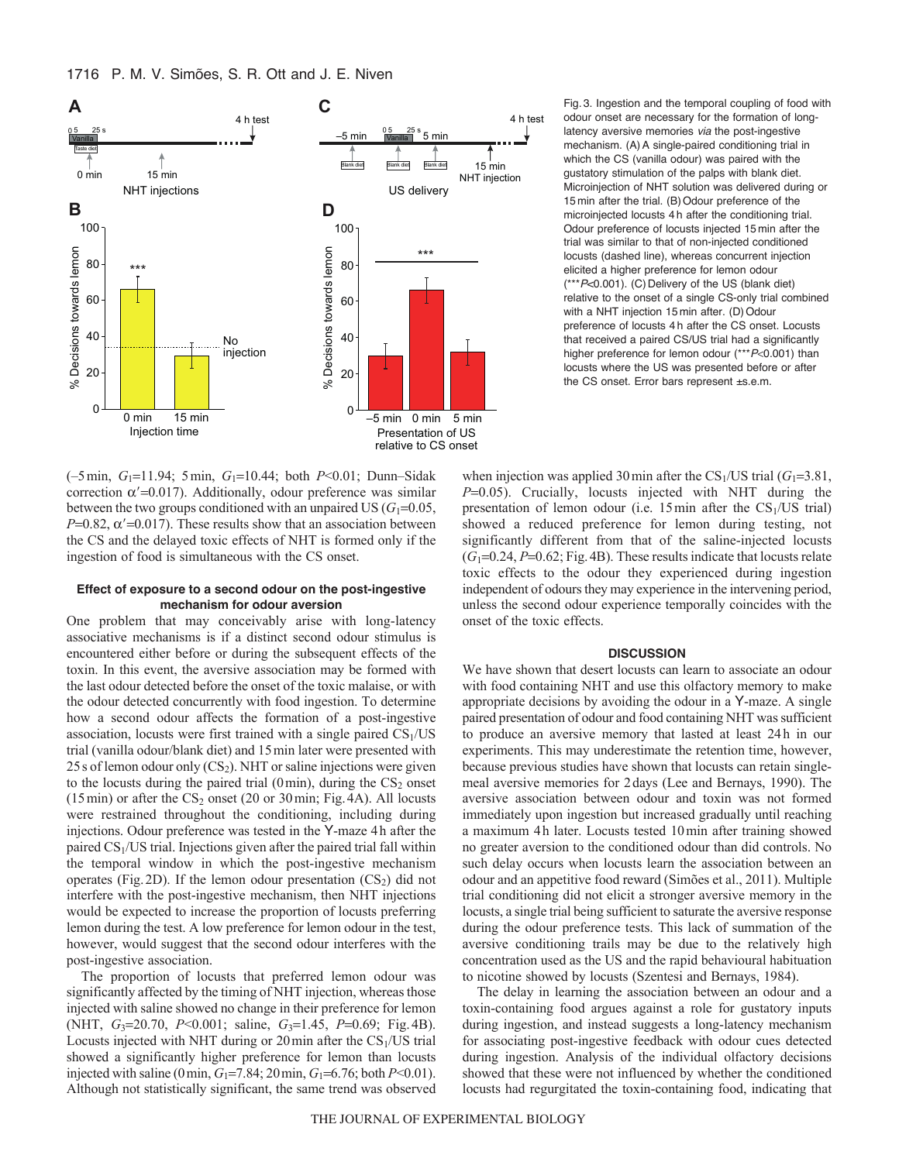

Fig. 3. Ingestion and the temporal coupling of food with odour onset are necessary for the formation of longlatency aversive memories *via* the post-ingestive mechanism. (A) A single-paired conditioning trial in which the CS (vanilla odour) was paired with the gustatory stimulation of the palps with blank diet. Microinjection of NHT solution was delivered during or 15 min after the trial. (B) Odour preference of the microinjected locusts 4 h after the conditioning trial. Odour preference of locusts injected 15 min after the trial was similar to that of non-injected conditioned locusts (dashed line), whereas concurrent injection elicited a higher preference for lemon odour (\*\*\**P*<0.001). (C) Delivery of the US (blank diet) relative to the onset of a single CS-only trial combined with a NHT injection 15 min after. (D) Odour preference of locusts 4 h after the CS onset. Locusts that received a paired CS/US trial had a significantly higher preference for lemon odour (\*\*\**P*<0.001) than locusts where the US was presented before or after the CS onset. Error bars represent ±s.e.m.

(-5 min, *G*<sub>1</sub>=11.94; 5 min, *G*<sub>1</sub>=10.44; both *P*<0.01; Dunn–Sidak correction  $\alpha'$ =0.017). Additionally, odour preference was similar between the two groups conditioned with an unpaired US  $(G_1=0.05,$  $P=0.82$ ,  $\alpha'=0.017$ ). These results show that an association between the CS and the delayed toxic effects of NHT is formed only if the ingestion of food is simultaneous with the CS onset.

## **Effect of exposure to a second odour on the post-ingestive mechanism for odour aversion**

One problem that may conceivably arise with long-latency associative mechanisms is if a distinct second odour stimulus is encountered either before or during the subsequent effects of the toxin. In this event, the aversive association may be formed with the last odour detected before the onset of the toxic malaise, or with the odour detected concurrently with food ingestion. To determine how a second odour affects the formation of a post-ingestive association, locusts were first trained with a single paired  $CS<sub>1</sub>/US$ trial (vanilla odour/blank diet) and 15min later were presented with 25 s of lemon odour only  $(CS_2)$ . NHT or saline injections were given to the locusts during the paired trial  $(0 \text{min})$ , during the  $CS<sub>2</sub>$  onset  $(15 \text{ min})$  or after the  $CS_2$  onset  $(20 \text{ or } 30 \text{ min})$ ; Fig. 4A). All locusts were restrained throughout the conditioning, including during injections. Odour preference was tested in the Y-maze 4h after the paired  $CS<sub>1</sub>/US$  trial. Injections given after the paired trial fall within the temporal window in which the post-ingestive mechanism operates (Fig. 2D). If the lemon odour presentation  $(CS_2)$  did not interfere with the post-ingestive mechanism, then NHT injections would be expected to increase the proportion of locusts preferring lemon during the test. A low preference for lemon odour in the test, however, would suggest that the second odour interferes with the post-ingestive association.

The proportion of locusts that preferred lemon odour was significantly affected by the timing of NHT injection, whereas those injected with saline showed no change in their preference for lemon (NHT, *G*<sub>3</sub>=20.70, *P*<0.001; saline, *G*<sub>3</sub>=1.45, *P*=0.69; Fig. 4B). Locusts injected with NHT during or  $20 \text{min}$  after the  $CS<sub>1</sub>/US$  trial showed a significantly higher preference for lemon than locusts injected with saline (0 min,  $G_1 = 7.84$ ; 20 min,  $G_1 = 6.76$ ; both  $P < 0.01$ ). Although not statistically significant, the same trend was observed when injection was applied 30 min after the  $CS<sub>1</sub>/US$  trial ( $G<sub>1</sub>=3.81$ , *P*=0.05). Crucially, locusts injected with NHT during the presentation of lemon odour (i.e. 15 min after the  $CS<sub>1</sub>/US$  trial) showed a reduced preference for lemon during testing, not significantly different from that of the saline-injected locusts  $(G_1=0.24, P=0.62; Fig. 4B)$ . These results indicate that locusts relate toxic effects to the odour they experienced during ingestion independent of odours they may experience in the intervening period, unless the second odour experience temporally coincides with the onset of the toxic effects.

#### **DISCUSSION**

We have shown that desert locusts can learn to associate an odour with food containing NHT and use this olfactory memory to make appropriate decisions by avoiding the odour in a Y-maze. A single paired presentation of odour and food containing NHT was sufficient to produce an aversive memory that lasted at least 24h in our experiments. This may underestimate the retention time, however, because previous studies have shown that locusts can retain singlemeal aversive memories for 2days (Lee and Bernays, 1990). The aversive association between odour and toxin was not formed immediately upon ingestion but increased gradually until reaching a maximum 4h later. Locusts tested 10min after training showed no greater aversion to the conditioned odour than did controls. No such delay occurs when locusts learn the association between an odour and an appetitive food reward (Simões et al., 2011). Multiple trial conditioning did not elicit a stronger aversive memory in the locusts, a single trial being sufficient to saturate the aversive response during the odour preference tests. This lack of summation of the aversive conditioning trails may be due to the relatively high concentration used as the US and the rapid behavioural habituation to nicotine showed by locusts (Szentesi and Bernays, 1984).

The delay in learning the association between an odour and a toxin-containing food argues against a role for gustatory inputs during ingestion, and instead suggests a long-latency mechanism for associating post-ingestive feedback with odour cues detected during ingestion. Analysis of the individual olfactory decisions showed that these were not influenced by whether the conditioned locusts had regurgitated the toxin-containing food, indicating that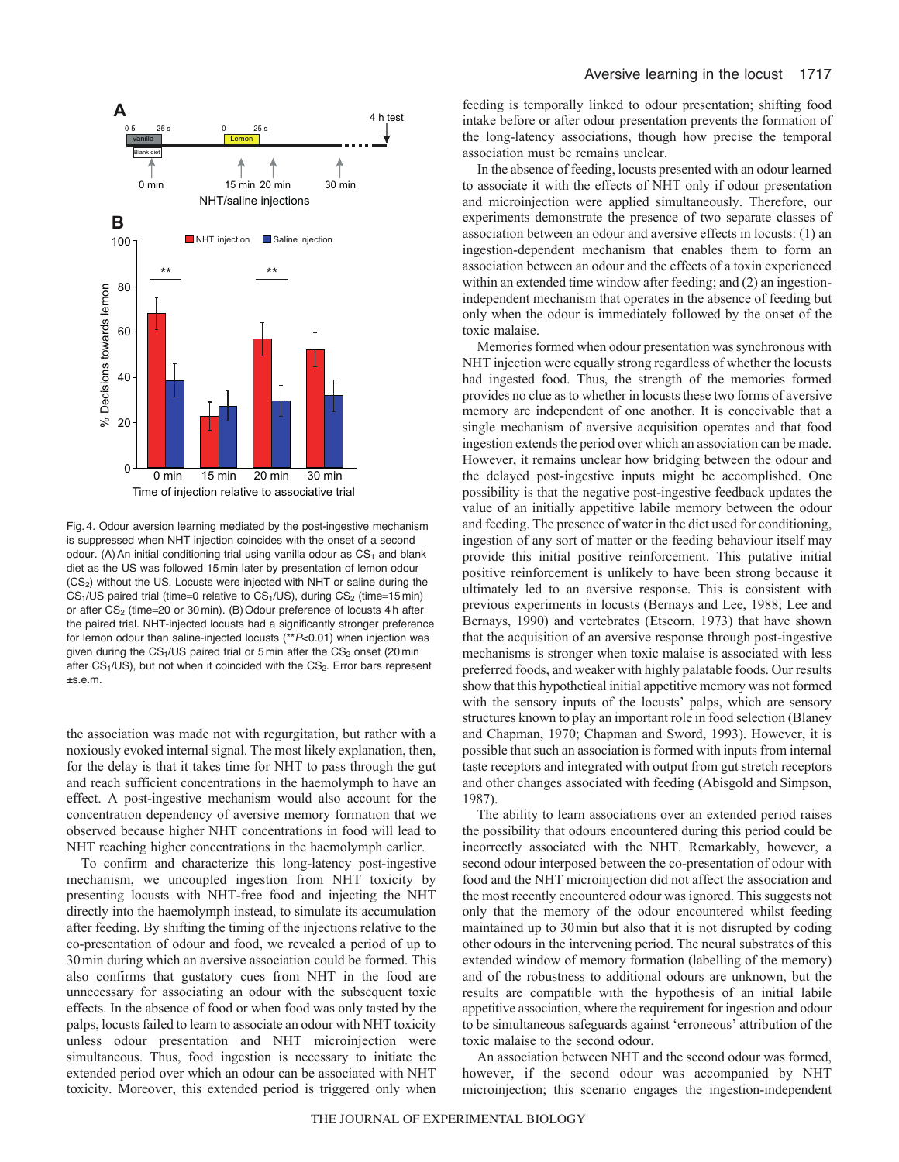

Fig. 4. Odour aversion learning mediated by the post-ingestive mechanism is suppressed when NHT injection coincides with the onset of a second odour. (A) An initial conditioning trial using vanilla odour as  $CS<sub>1</sub>$  and blank diet as the US was followed 15 min later by presentation of lemon odour (CS<sub>2</sub>) without the US. Locusts were injected with NHT or saline during the  $CS<sub>1</sub>/US$  paired trial (time=0 relative to  $CS<sub>1</sub>/US$ ), during  $CS<sub>2</sub>$  (time=15 min) or after  $CS_2$  (time=20 or 30 min). (B) Odour preference of locusts 4 h after the paired trial. NHT-injected locusts had a significantly stronger preference for lemon odour than saline-injected locusts (\*\**P*<0.01) when injection was given during the  $CS<sub>1</sub>/US$  paired trial or 5 min after the  $CS<sub>2</sub>$  onset (20 min after  $CS<sub>1</sub>/US$ ), but not when it coincided with the  $CS<sub>2</sub>$ . Error bars represent ±s.e.m.

the association was made not with regurgitation, but rather with a noxiously evoked internal signal. The most likely explanation, then, for the delay is that it takes time for NHT to pass through the gut and reach sufficient concentrations in the haemolymph to have an effect. A post-ingestive mechanism would also account for the concentration dependency of aversive memory formation that we observed because higher NHT concentrations in food will lead to NHT reaching higher concentrations in the haemolymph earlier.

To confirm and characterize this long-latency post-ingestive mechanism, we uncoupled ingestion from NHT toxicity by presenting locusts with NHT-free food and injecting the NHT directly into the haemolymph instead, to simulate its accumulation after feeding. By shifting the timing of the injections relative to the co-presentation of odour and food, we revealed a period of up to 30min during which an aversive association could be formed. This also confirms that gustatory cues from NHT in the food are unnecessary for associating an odour with the subsequent toxic effects. In the absence of food or when food was only tasted by the palps, locusts failed to learn to associate an odour with NHT toxicity unless odour presentation and NHT microinjection were simultaneous. Thus, food ingestion is necessary to initiate the extended period over which an odour can be associated with NHT toxicity. Moreover, this extended period is triggered only when feeding is temporally linked to odour presentation; shifting food intake before or after odour presentation prevents the formation of the long-latency associations, though how precise the temporal association must be remains unclear.

In the absence of feeding, locusts presented with an odour learned to associate it with the effects of NHT only if odour presentation and microinjection were applied simultaneously. Therefore, our experiments demonstrate the presence of two separate classes of association between an odour and aversive effects in locusts: (1) an ingestion-dependent mechanism that enables them to form an association between an odour and the effects of a toxin experienced within an extended time window after feeding; and (2) an ingestionindependent mechanism that operates in the absence of feeding but only when the odour is immediately followed by the onset of the toxic malaise.

Memories formed when odour presentation was synchronous with NHT injection were equally strong regardless of whether the locusts had ingested food. Thus, the strength of the memories formed provides no clue as to whether in locusts these two forms of aversive memory are independent of one another. It is conceivable that a single mechanism of aversive acquisition operates and that food ingestion extends the period over which an association can be made. However, it remains unclear how bridging between the odour and the delayed post-ingestive inputs might be accomplished. One possibility is that the negative post-ingestive feedback updates the value of an initially appetitive labile memory between the odour and feeding. The presence of water in the diet used for conditioning, ingestion of any sort of matter or the feeding behaviour itself may provide this initial positive reinforcement. This putative initial positive reinforcement is unlikely to have been strong because it ultimately led to an aversive response. This is consistent with previous experiments in locusts (Bernays and Lee, 1988; Lee and Bernays, 1990) and vertebrates (Etscorn, 1973) that have shown that the acquisition of an aversive response through post-ingestive mechanisms is stronger when toxic malaise is associated with less preferred foods, and weaker with highly palatable foods. Our results show that this hypothetical initial appetitive memory was not formed with the sensory inputs of the locusts' palps, which are sensory structures known to play an important role in food selection (Blaney and Chapman, 1970; Chapman and Sword, 1993). However, it is possible that such an association is formed with inputs from internal taste receptors and integrated with output from gut stretch receptors and other changes associated with feeding (Abisgold and Simpson, 1987).

The ability to learn associations over an extended period raises the possibility that odours encountered during this period could be incorrectly associated with the NHT. Remarkably, however, a second odour interposed between the co-presentation of odour with food and the NHT microinjection did not affect the association and the most recently encountered odour was ignored. This suggests not only that the memory of the odour encountered whilst feeding maintained up to 30min but also that it is not disrupted by coding other odours in the intervening period. The neural substrates of this extended window of memory formation (labelling of the memory) and of the robustness to additional odours are unknown, but the results are compatible with the hypothesis of an initial labile appetitive association, where the requirement for ingestion and odour to be simultaneous safeguards against 'erroneous' attribution of the toxic malaise to the second odour.

An association between NHT and the second odour was formed, however, if the second odour was accompanied by NHT microinjection; this scenario engages the ingestion-independent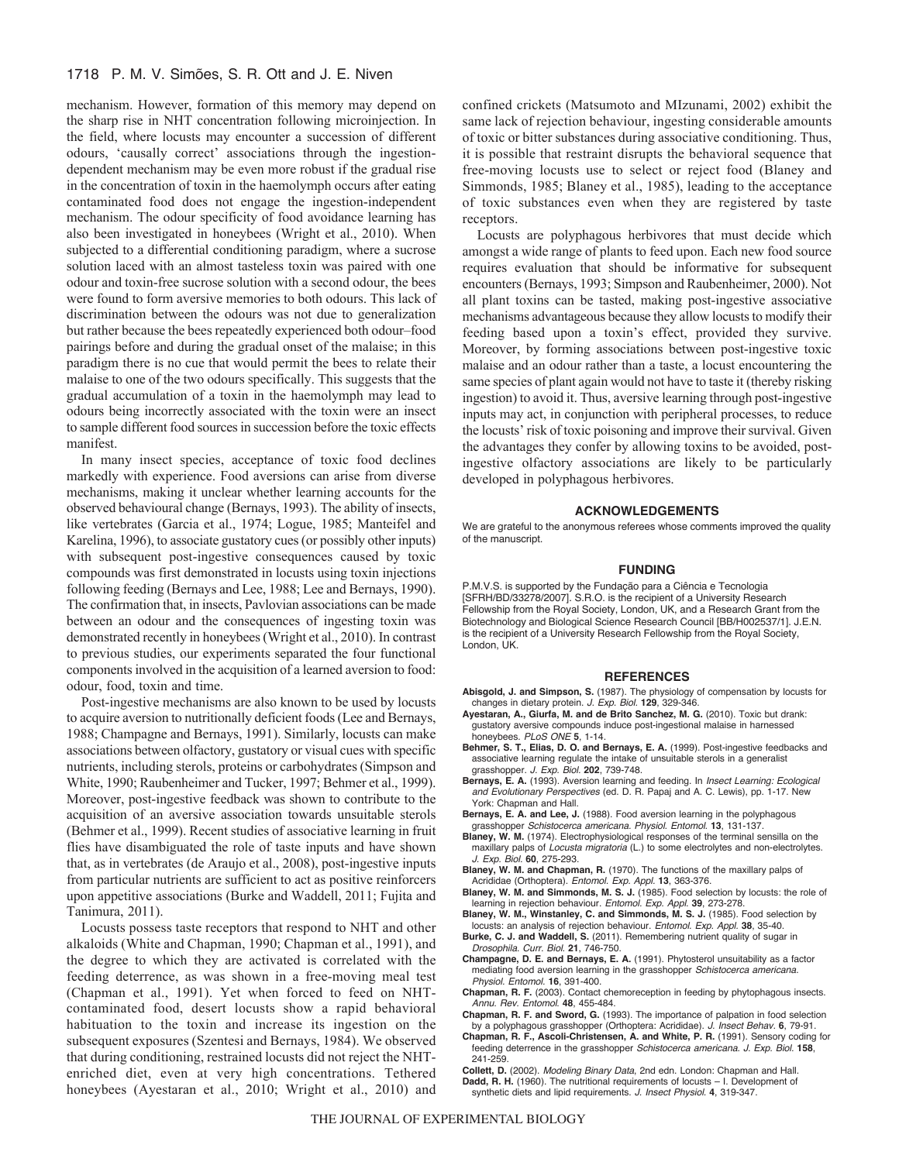## 1718 P. M. V. Simões, S. R. Ott and J. E. Niven

mechanism. However, formation of this memory may depend on the sharp rise in NHT concentration following microinjection. In the field, where locusts may encounter a succession of different odours, 'causally correct' associations through the ingestiondependent mechanism may be even more robust if the gradual rise in the concentration of toxin in the haemolymph occurs after eating contaminated food does not engage the ingestion-independent mechanism. The odour specificity of food avoidance learning has also been investigated in honeybees (Wright et al., 2010). When subjected to a differential conditioning paradigm, where a sucrose solution laced with an almost tasteless toxin was paired with one odour and toxin-free sucrose solution with a second odour, the bees were found to form aversive memories to both odours. This lack of discrimination between the odours was not due to generalization but rather because the bees repeatedly experienced both odour–food pairings before and during the gradual onset of the malaise; in this paradigm there is no cue that would permit the bees to relate their malaise to one of the two odours specifically. This suggests that the gradual accumulation of a toxin in the haemolymph may lead to odours being incorrectly associated with the toxin were an insect to sample different food sources in succession before the toxic effects manifest.

In many insect species, acceptance of toxic food declines markedly with experience. Food aversions can arise from diverse mechanisms, making it unclear whether learning accounts for the observed behavioural change (Bernays, 1993). The ability of insects, like vertebrates (Garcia et al., 1974; Logue, 1985; Manteifel and Karelina, 1996), to associate gustatory cues (or possibly other inputs) with subsequent post-ingestive consequences caused by toxic compounds was first demonstrated in locusts using toxin injections following feeding (Bernays and Lee, 1988; Lee and Bernays, 1990). The confirmation that, in insects, Pavlovian associations can be made between an odour and the consequences of ingesting toxin was demonstrated recently in honeybees (Wright et al., 2010). In contrast to previous studies, our experiments separated the four functional components involved in the acquisition of a learned aversion to food: odour, food, toxin and time.

Post-ingestive mechanisms are also known to be used by locusts to acquire aversion to nutritionally deficient foods (Lee and Bernays, 1988; Champagne and Bernays, 1991). Similarly, locusts can make associations between olfactory, gustatory or visual cues with specific nutrients, including sterols, proteins or carbohydrates (Simpson and White, 1990; Raubenheimer and Tucker, 1997; Behmer et al., 1999). Moreover, post-ingestive feedback was shown to contribute to the acquisition of an aversive association towards unsuitable sterols (Behmer et al., 1999). Recent studies of associative learning in fruit flies have disambiguated the role of taste inputs and have shown that, as in vertebrates (de Araujo et al., 2008), post-ingestive inputs from particular nutrients are sufficient to act as positive reinforcers upon appetitive associations (Burke and Waddell, 2011; Fujita and Tanimura, 2011).

Locusts possess taste receptors that respond to NHT and other alkaloids (White and Chapman, 1990; Chapman et al., 1991), and the degree to which they are activated is correlated with the feeding deterrence, as was shown in a free-moving meal test (Chapman et al., 1991). Yet when forced to feed on NHTcontaminated food, desert locusts show a rapid behavioral habituation to the toxin and increase its ingestion on the subsequent exposures (Szentesi and Bernays, 1984). We observed that during conditioning, restrained locusts did not reject the NHTenriched diet, even at very high concentrations. Tethered honeybees (Ayestaran et al., 2010; Wright et al., 2010) and confined crickets (Matsumoto and MIzunami, 2002) exhibit the same lack of rejection behaviour, ingesting considerable amounts of toxic or bitter substances during associative conditioning. Thus, it is possible that restraint disrupts the behavioral sequence that free-moving locusts use to select or reject food (Blaney and Simmonds, 1985; Blaney et al., 1985), leading to the acceptance of toxic substances even when they are registered by taste receptors.

Locusts are polyphagous herbivores that must decide which amongst a wide range of plants to feed upon. Each new food source requires evaluation that should be informative for subsequent encounters (Bernays, 1993; Simpson and Raubenheimer, 2000). Not all plant toxins can be tasted, making post-ingestive associative mechanisms advantageous because they allow locusts to modify their feeding based upon a toxin's effect, provided they survive. Moreover, by forming associations between post-ingestive toxic malaise and an odour rather than a taste, a locust encountering the same species of plant again would not have to taste it (thereby risking ingestion) to avoid it. Thus, aversive learning through post-ingestive inputs may act, in conjunction with peripheral processes, to reduce the locusts' risk of toxic poisoning and improve their survival. Given the advantages they confer by allowing toxins to be avoided, postingestive olfactory associations are likely to be particularly developed in polyphagous herbivores.

#### **ACKNOWLEDGEMENTS**

We are grateful to the anonymous referees whose comments improved the quality of the manuscript.

#### **FUNDING**

P.M.V.S. is supported by the Fundação para a Ciência e Tecnologia [SFRH/BD/33278/2007]. S.R.O. is the recipient of a University Research Fellowship from the Royal Society, London, UK, and a Research Grant from the Biotechnology and Biological Science Research Council [BB/H002537/1]. J.E.N. is the recipient of a University Research Fellowship from the Royal Society, London, UK.

#### **REFERENCES**

- **Abisgold, J. and Simpson, S.** (1987). The physiology of compensation by locusts for changes in dietary protein. *J. Exp. Biol.* **129**, 329-346.
- **Ayestaran, A., Giurfa, M. and de Brito Sanchez, M. G.** (2010). Toxic but drank: gustatory aversive compounds induce post-ingestional malaise in harnessed honeybees. *PLoS ONE* **5**, 1-14.
- **Behmer, S. T., Elias, D. O. and Bernays, E. A.** (1999). Post-ingestive feedbacks and associative learning regulate the intake of unsuitable sterols in a generalist grasshopper. *J. Exp. Biol.* **202**, 739-748.
- **Bernays, E. A.** (1993). Aversion learning and feeding. In *Insect Learning: Ecological and Evolutionary Perspectives* (ed. D. R. Papaj and A. C. Lewis), pp. 1-17. New York: Chapman and Hall.
- **Bernays, E. A. and Lee, J.** (1988). Food aversion learning in the polyphagous grasshopper *Schistocerca americana. Physiol. Entomol.* **13**, 131-137.
- **Blaney, W. M.** (1974). Electrophysiological responses of the terminal sensilla on the maxillary palps of *Locusta migratoria* (L.) to some electrolytes and non-electrolytes. *J. Exp. Biol.* **60**, 275-293.
- **Blaney, W. M. and Chapman, R.** (1970). The functions of the maxillary palps of Acrididae (Orthoptera). *Entomol. Exp. Appl.* **13**, 363-376.
- **Blaney, W. M. and Simmonds, M. S. J.** (1985). Food selection by locusts: the role of learning in rejection behaviour. *Entomol. Exp. Appl.* **39**, 273-278.
- **Blaney, W. M., Winstanley, C. and Simmonds, M. S. J.** (1985). Food selection by locusts: an analysis of rejection behaviour. *Entomol. Exp. Appl.* **38**, 35-40. **Burke, C. J. and Waddell, S.** (2011). Remembering nutrient quality of sugar in
- *Drosophila*. *Curr. Biol.* **21**, 746-750. **Champagne, D. E. and Bernays, E. A.** (1991). Phytosterol unsuitability as a factor mediating food aversion learning in the grasshopper *Schistocerca americana*.
- *Physiol. Entomol.* **16**, 391-400. **Chapman, R. F.** (2003). Contact chemoreception in feeding by phytophagous insects. *Annu. Rev. Entomol*. **48**, 455-484.
- **Chapman, R. F. and Sword, G.** (1993). The importance of palpation in food selection by a polyphagous grasshopper (Orthoptera: Acrididae). *J. Insect Behav.* **6**, 79-91.
- **Chapman, R. F., Ascoli-Christensen, A. and White, P. R.** (1991). Sensory coding for feeding deterrence in the grasshopper *Schistocerca americana*. *J. Exp. Biol.* **158**, 241-259.
- **Collett, D.** (2002). *Modeling Binary Data*, 2nd edn. London: Chapman and Hall. **Dadd, R. H.** (1960). The nutritional requirements of locusts – I. Development of
- synthetic diets and lipid requirements. *J. Insect Physiol.* **4**, 319-347.